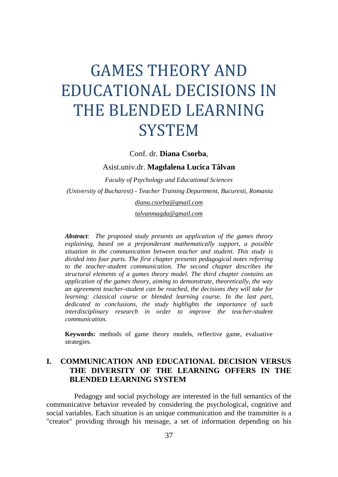# GAMES THEORY AND EDUCATIONAL DECISIONS IN THE BLENDED LEARNING **SYSTEM**

Conf. dr. **Diana Csorba**,

Asist.univ.dr. **Magdalena Lucica Tâlvan**

*Faculty of Psychology and Educational Sciences (University of Bucharest) - Teacher Training Department, Bucuresti, Romania [diana.csorba@gmail.com](mailto:diana.csorba@gmail.com)*

*[talvanmagda@gmail.com](mailto:talvanmagda@gmail.com)*

*Abstract: The proposed study presents an application of the games theory explaining, based on a preponderant mathematically support, a possible situation in the communication between teacher and student. This study is divided into four parts. The first chapter presents pedagogical notes referring to the teacher-student communication. The second chapter describes the structural elements of a games theory model. The third chapter contains an application of the games theory, aiming to demonstrate, theoretically, the way an agreement teacher-student can be reached, the decisions they will take for learning: classical course or blended learning course. In the last part, dedicated to conclusions, the study highlights the importance of such interdisciplinary research in order to improve the teacher-student communication.*

**Keywords:** methods of game theory models, reflective game, evaluative strategies.

## **I. COMMUNICATION AND EDUCATIONAL DECISION VERSUS THE DIVERSITY OF THE LEARNING OFFERS IN THE BLENDED LEARNING SYSTEM**

Pedagogy and social psychology are interested in the full semantics of the communicative behavior revealed by considering the psychological, cognitive and social variables. Each situation is an unique communication and the transmitter is a "creator" providing through his message, a set of information depending on his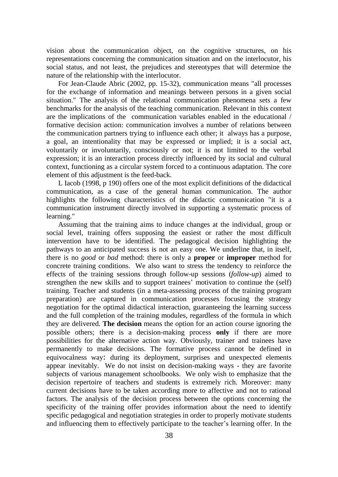vision about the communication object, on the cognitive structures, on his representations concerning the communication situation and on the interlocutor, his social status, and not least, the prejudices and stereotypes that will determine the nature of the relationship with the interlocutor.

For Jean-Claude Abric (2002, pp. 15-32), communication means "all processes for the exchange of information and meanings between persons in a given social situation." The analysis of the relational communication phenomena sets a few benchmarks for the analysis of the teaching communication. Relevant in this context are the implications of the communication variables enabled in the educational / formative decision action: communication involves a number of relations between the communication partners trying to influence each other; it always has a purpose, a goal, an intentionality that may be expressed or implied; it is a social act, voluntarily or involuntarily, consciously or not; it is not limited to the verbal expression; it is an interaction process directly influenced by its social and cultural context, functioning as a circular system forced to a continuous adaptation. The core element of this adjustment is the feed-back.

L Iacob (1998, p 190) offers one of the most explicit definitions of the didactical communication, as a case of the general human communication. The author highlights the following characteristics of the didactic communication "it is a communication instrument directly involved in supporting a systematic process of learning."

Assuming that the training aims to induce changes at the individual, group or social level, training offers supposing the easiest or rather the most difficult intervention have to be identified. The pedagogical decision highlighting the pathways to an anticipated success is not an easy one. We underline that, in itself, there is no *good* or *bad* method: there is only a **proper** or **improper** method for concrete training conditions. We also want to stress the tendency to reinforce the effects of the training sessions through follow-up sessions (*follow-up*) aimed to strengthen the new skills and to support trainees' motivation to continue the (self) training. Teacher and students (in a meta-assessing process of the training program preparation) are captured in communication processes focusing the strategy negotiation for the optimal didactical interaction, guaranteeing the learning success and the full completion of the training modules, regardless of the formula in which they are delivered. **The decision** means the option for an action course ignoring the possible others; there is a decision-making process **only** if there are more possibilities for the alternative action way. Obviously, trainer and trainees have permanently to make decisions. The formative process cannot be defined in equivocalness way: during its deployment, surprises and unexpected elements appear inevitably. We do not insist on decision-making ways - they are favorite subjects of various management schoolbooks. We only wish to emphasize that the decision repertoire of teachers and students is extremely rich. Moreover: many current decisions have to be taken according more to affective and not to rational factors. The analysis of the decision process between the options concerning the specificity of the training offer provides information about the need to identify specific pedagogical and negotiation strategies in order to properly motivate students and influencing them to effectively participate to the teacher's learning offer. In the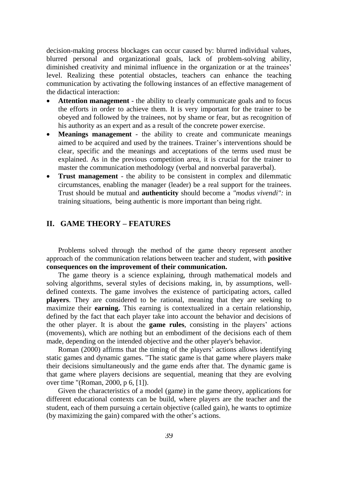decision-making process blockages can occur caused by: blurred individual values, blurred personal and organizational goals, lack of problem-solving ability, diminished creativity and minimal influence in the organization or at the trainees' level. Realizing these potential obstacles, teachers can enhance the teaching communication by activating the following instances of an effective management of the didactical interaction:

- **Attention management**  the ability to clearly communicate goals and to focus the efforts in order to achieve them. It is very important for the trainer to be obeyed and followed by the trainees, not by shame or fear, but as recognition of his authority as an expert and as a result of the concrete power exercise.
- **Meanings management**  the ability to create and communicate meanings aimed to be acquired and used by the trainees. Trainer's interventions should be clear, specific and the meanings and acceptations of the terms used must be explained. As in the previous competition area, it is crucial for the trainer to master the communication methodology (verbal and nonverbal paraverbal).
- **Trust management** the ability to be consistent in complex and dilemmatic circumstances, enabling the manager (leader) be a real support for the trainees. Trust should be mutual and **authenticity** should become a *"modus vivendi":* in training situations, being authentic is more important than being right.

## **II. GAME THEORY – FEATURES**

Problems solved through the method of the game theory represent another approach of the communication relations between teacher and student, with **positive consequences on the improvement of their communication.**

The game theory is a science explaining, through mathematical models and solving algorithms, several styles of decisions making, in, by assumptions, welldefined contexts. The game involves the existence of participating actors, called **players**. They are considered to be rational, meaning that they are seeking to maximize their **earning.** This earning is contextualized in a certain relationship, defined by the fact that each player take into account the behavior and decisions of the other player. It is about the **game rules**, consisting in the players' actions (movements), which are nothing but an embodiment of the decisions each of them made, depending on the intended objective and the other player's behavior.

Roman (2000) affirms that the timing of the players' actions allows identifying static games and dynamic games. "The static game is that game where players make their decisions simultaneously and the game ends after that. The dynamic game is that game where players decisions are sequential, meaning that they are evolving over time "(Roman, 2000, p 6, [1]).

Given the characteristics of a model (game) in the game theory, applications for different educational contexts can be build, where players are the teacher and the student, each of them pursuing a certain objective (called gain), he wants to optimize (by maximizing the gain) compared with the other's actions.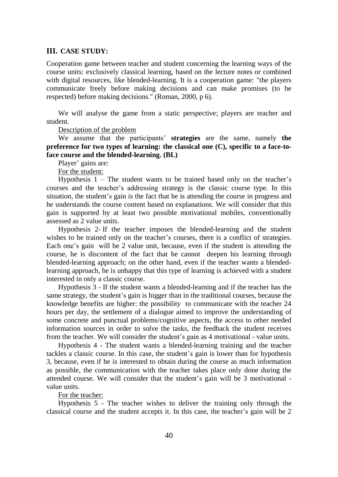#### **III. CASE STUDY:**

Cooperation game between teacher and student concerning the learning ways of the course units: exclusively classical learning, based on the lecture notes or combined with digital resources, like blended-learning. It is a cooperation game: "the players communicate freely before making decisions and can make promises (to be respected) before making decisions." (Roman, 2000, p 6).

We will analyse the game from a static perspective; players are teacher and student.

Description of the problem

We assume that the participants' **strategies** are the same, namely **the preference for two types of learning: the classical one (C), specific to a face-toface course and the blended-learning. (BL)**

Player' gains are:

For the student:

Hypothesis  $1 -$  The student wants to be trained based only on the teacher's courses and the teacher's addressing strategy is the classic course type. In this situation, the student's gain is the fact that he is attending the course in progress and he understands the course content based on explanations. We will consider that this gain is supported by at least two possible motivational mobiles, conventionally assessed as 2 value units.

Hypothesis 2- If the teacher imposes the blended-learning and the student wishes to be trained only on the teacher's courses, there is a conflict of strategies. Each one's gain will be 2 value unit, because, even if the student is attending the course, he is discontent of the fact that he cannot deepen his learning through blended-learning approach; on the other hand, even if the teacher wants a blendedlearning approach, he is unhappy that this type of learning is achieved with a student interested in only a classic course.

Hypothesis 3 - If the student wants a blended-learning and if the teacher has the same strategy, the student's gain is bigger than in the traditional courses, because the knowledge benefits are higher: the possibility to communicate with the teacher 24 hours per day, the settlement of a dialogue aimed to improve the understanding of some concrete and punctual problems/cognitive aspects, the access to other needed information sources in order to solve the tasks, the feedback the student receives from the teacher. We will consider the student's gain as 4 motivational - value units.

Hypothesis 4 - The student wants a blended-learning training and the teacher tackles a classic course. In this case, the student's gain is lower than for hypothesis 3, because, even if he is interested to obtain during the course as much information as possible, the communication with the teacher takes place only done during the attended course. We will consider that the student's gain will be 3 motivational value units.

For the teacher:

Hypothesis 5 - The teacher wishes to deliver the training only through the classical course and the student accepts it. In this case, the teacher's gain will be 2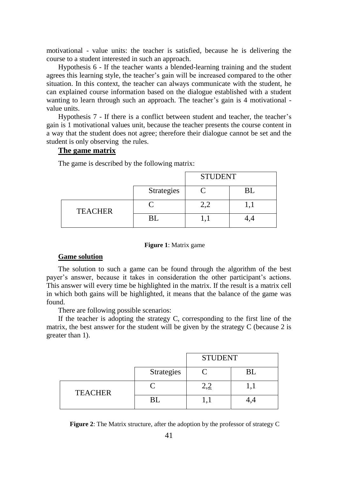motivational - value units: the teacher is satisfied, because he is delivering the course to a student interested in such an approach.

Hypothesis 6 - If the teacher wants a blended-learning training and the student agrees this learning style, the teacher's gain will be increased compared to the other situation. In this context, the teacher can always communicate with the student, he can explained course information based on the dialogue established with a student wanting to learn through such an approach. The teacher's gain is 4 motivational value units.

Hypothesis 7 - If there is a conflict between student and teacher, the teacher's gain is 1 motivational values unit, because the teacher presents the course content in a way that the student does not agree; therefore their dialogue cannot be set and the student is only observing the rules.

#### **The game matrix**

The game is described by the following matrix:

|                |            | <b>STUDENT</b> |  |
|----------------|------------|----------------|--|
|                | Strategies |                |  |
| <b>TEACHER</b> |            |                |  |
|                | BL         |                |  |

#### **Figure 1**: Matrix game

#### **Game solution**

The solution to such a game can be found through the algorithm of the best payer's answer, because it takes in consideration the other participant's actions. This answer will every time be highlighted in the matrix. If the result is a matrix cell in which both gains will be highlighted, it means that the balance of the game was found.

There are following possible scenarios:

If the teacher is adopting the strategy C, corresponding to the first line of the matrix, the best answer for the student will be given by the strategy C (because 2 is greater than 1).

|                |                   | <b>STUDENT</b> |  |
|----------------|-------------------|----------------|--|
|                | <b>Strategies</b> |                |  |
| <b>TEACHER</b> |                   |                |  |
|                | BL                |                |  |

**Figure 2**: The Matrix structure, after the adoption by the professor of strategy C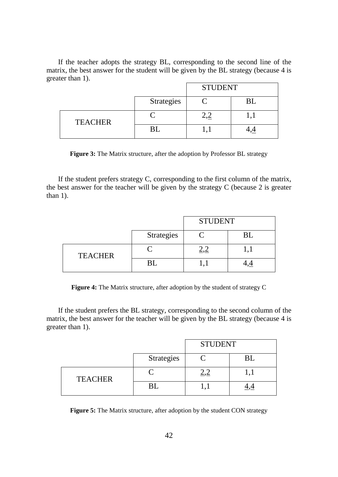If the teacher adopts the strategy BL, corresponding to the second line of the matrix, the best answer for the student will be given by the BL strategy (because 4 is greater than 1).

|                |            | <b>STUDENT</b> |  |
|----------------|------------|----------------|--|
|                | Strategies |                |  |
| <b>TEACHER</b> |            |                |  |
|                | BI         |                |  |

**Figure 3:** The Matrix structure, after the adoption by Professor BL strategy

If the student prefers strategy C, corresponding to the first column of the matrix, the best answer for the teacher will be given by the strategy C (because 2 is greater than 1).

|                |                   | <b>STUDENT</b> |    |
|----------------|-------------------|----------------|----|
|                | <b>Strategies</b> |                | ВI |
| <b>TEACHER</b> |                   |                |    |
|                |                   |                |    |

**Figure 4:** The Matrix structure, after adoption by the student of strategy C

If the student prefers the BL strategy, corresponding to the second column of the matrix, the best answer for the teacher will be given by the BL strategy (because 4 is greater than 1).

|                |            | <b>STUDENT</b> |    |
|----------------|------------|----------------|----|
|                | Strategies |                | BL |
| <b>TEACHER</b> |            |                |    |
|                |            |                |    |

**Figure 5:** The Matrix structure, after adoption by the student CON strategy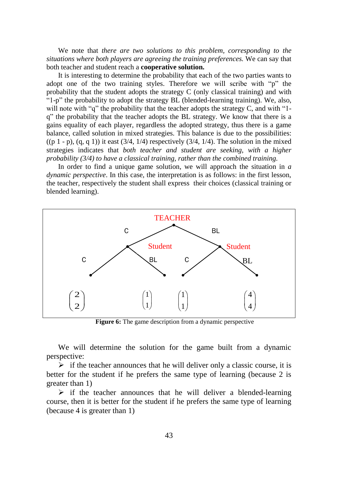We note that *there are two solutions to this problem, corresponding to the situations where both players are agreeing the training preferences.* We can say that both teacher and student reach a **cooperative solution.**

It is interesting to determine the probability that each of the two parties wants to adopt one of the two training styles. Therefore we will scribe with "p" the probability that the student adopts the strategy C (only classical training) and with "1-p" the probability to adopt the strategy BL (blended-learning training). We, also, will note with "q" the probability that the teacher adopts the strategy C, and with "1q" the probability that the teacher adopts the BL strategy. We know that there is a gains equality of each player, regardless the adopted strategy, thus there is a game balance, called solution in mixed strategies. This balance is due to the possibilities:  $((p 1 - p), (q, q 1))$  it east  $(3/4, 1/4)$  respectively  $(3/4, 1/4)$ . The solution in the mixed strategies indicates that *both teacher and student are seeking, with a higher probability (3/4) to have a classical training, rather than the combined training.*

In order to find a unique game solution, we will approach the situation in *a dynamic perspective*. In this case, the interpretation is as follows: in the first lesson, the teacher, respectively the student shall express their choices (classical training or blended learning).



**Figure 6:** The game description from a dynamic perspective

We will determine the solution for the game built from a dynamic perspective:

 $\triangleright$  if the teacher announces that he will deliver only a classic course, it is better for the student if he prefers the same type of learning (because 2 is greater than 1)

 $\triangleright$  if the teacher announces that he will deliver a blended-learning course, then it is better for the student if he prefers the same type of learning (because 4 is greater than 1)